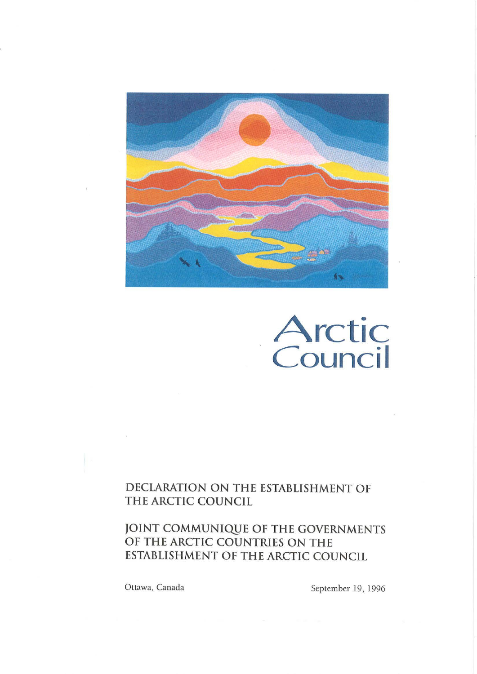



DECLARATION ON THE ESTABLISHMENT OF THE ARCTIC COUNCIL

# JOINT COMMUNIQUE OF THE GOVERNMENTS OF THE ARCTIC COUNTRIES ON THE ESTABLISHMENT OF THE ARCTIC COUNCIL

Ottawa, Canada September 19, 1996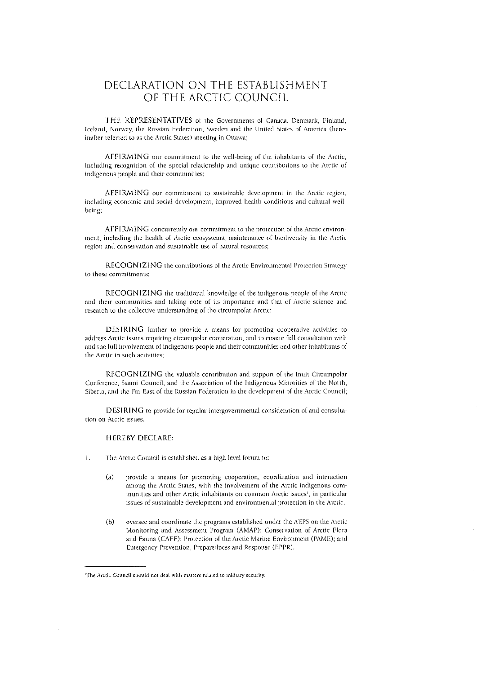## DECLARATION ON THE ESTABLISHMENT OF THE ARCTIC COUNCIL

THE REPRESENTATIVES of the Governments of Canada, Denmark, Finland, Iceland, Norway, the Russian Federation, Sweden and the United States of America (hereinafter referred to as the Arctic States) meeting in Ottawa;

AFFIRMING our commitment to the well-being of the inhabitants of the Arctic, including recognition of the special relationship and unique contributions to the Arctic of indigenous people and their communities;

AFFIRMING our commitment to sustainable development in the Arctic region, including economic and social development, improved health conditions and cultural wellbeing;

AFFIRMING concurrently our commitment to the protection of the Arctic environment, including the health of Arctic ecosystems, maintenance or biodiversity in the Arctic region and conservation and sustainable use of natural resources;

RECOGNIZING the contributions of the Arctic Environmental Protection Strategy to these commitments;

RECOGNIZING the traditional knowledge of the indigenous people of the Arctic and their commmunities and taking note of its importance and that of Arctic science and research to the collective understanding of the circumpolar Arctic;

DESIRING further to provide a means for promoting cooperative activities to address Arctic issues requiring circumpolar cooperation, and to ensure full consultation with and the full involvement of indigenous people and their communities and other inhabitants of the Arctic in such activities;

RECOGNIZING the valuable contribution and support of the lnuit Circumpolar Conference, Saami Council, and the Association of the Indigenous Minorities of the North, Siberia, and the Far East of the Russian Federation in the development of the Arctic Council;

DESIRING to provide for regular intergovernmental consideration of and consultation on Arctic issues.

#### HEREBY DECLARE:

- 1. The Arctic Council is established as a high level forum to:
	- (a) provide a means for promoting cooperation, coordination and interaction among the Arctic States, with the involvement of the Arctic indigenous communities and other Arctic inhabitants on common Arctic issues<sup>1</sup>, in particular issues of sustainable development and environmental protection in the Arctic.
	- (b) oversee and coordinate the programs established under the AEPS on the Arctic Monitoring and Assessment Program (AMAP); Conservation of Arctic Flora and Fauna (CAFF); Protection of the Arctic Marine Environment (PAME); and Emergency Prevention, Preparedness and Response (EPPR).

<sup>&#</sup>x27;The Arctic Council should not deal with matters related to military security.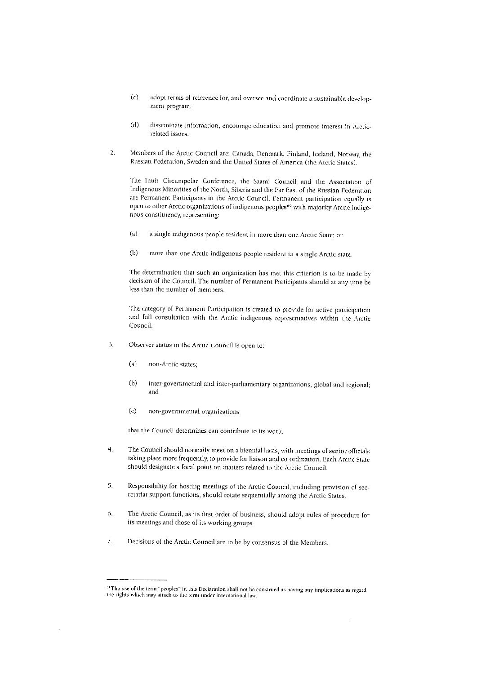- (c) adopt terms of reference for, and oversee and coordinate a sustainable development program.
- (d) disseminate information, encourage education and promote interest in Arcticrelated issues.
- 2. Members of the Arctic Council are: Canada, Denmark, Finland, Iceland, Norway, the Russian Federation, Sweden and the United States of America (the Arctic States).

The Inuit Circumpolar Conference, the Saami Council and the Association of Indigenous Minorities of the North, Siberia and the Far East of the Russian Federation are Permanent Participants in the Arctic Council. Permanent participation equally is open to other Arctic organizations of indigenous peoples\*2 with majority Arctic indigenous constituency, representing:

- (a) a single indigenous people resident in more than one Arctic State; or
- (b) more than one Arctic indigenous people resident in a single Arctic state.

The determination that such an organization has met this criterion is to be made by decision of the Council. The number of Permanent Participants should at any time be less than the number of members.

The category of Permanent Participation is created to provide for active participation and full consultation with the Arctic indigenous representatives within the Arctic Council.

- 3. Observer status in the Arctic Council is open to:
	- (a) non-Arctic states;
	- (b) inter-governmental and inter-parliamentary organizations, global and regional; and
	- (c) non-governmental organizations

that the Council determines can contribute to its work.

- 4. The Council should normally meet on a biennial basis, with meetings of senior officials taking place more frequently, to provide for liaison and co-ordination. Each Arctic State should designate a focal point on matters related to the Arctic Council.
- 5. Responsibility for hosting meetings of the Arctic Council, including provision of secretariat support functions, should rotate sequentially among the Arctic States.
- 6. The Arctic Council, as its first order of business, should adopt rules of procedure for its meetings and those of its working groups.
- 7. Decisions of the Arctic Council are to be by consensus of the Members.

<sup>2\*</sup> The use of the term ''peoples" in this Declaration shall not be construed as having any implications as regard the rights which may attach to the term under international law.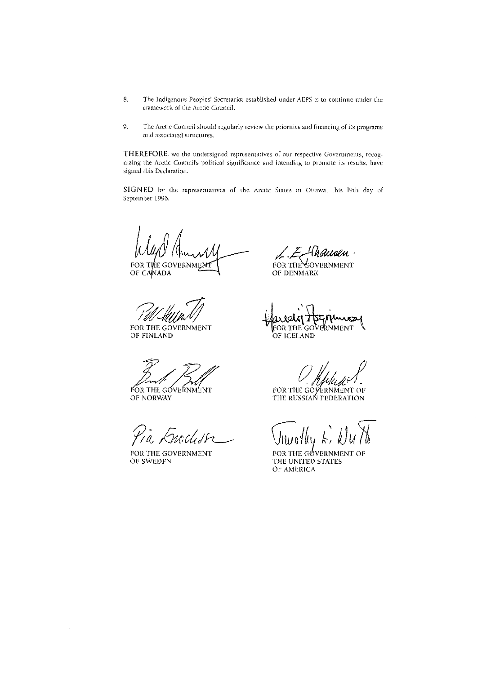- $8\cdot$ The Indigenous Peoples' Secretariat established under AEPS is to continue under the framework of the Arctic Council.
- $\overline{9}$ . The Arctic Council should regularly review the priorities and financing of its programs and associated structures.

THEREFORE, we the undersigned representatives of our respective Governments, recognizing the Arctic Council's political significance and intending to promote its results, have signed this Declaration.

SIGNED by the representatives of the Arctic States in Ottawa, this 19th day of September 1996.

FOR TWE GOVERNMENT

OF CANADA

FOR THE GOVERNMENT OF FINLAND

FOR THE GOVERNMENT OF NORWAY

 $\widetilde{\mathscr{H}}$ a, midisr

FOR THE GOVERNMENT OF SWEDEN

 $\cdot$ 

ausen · FOR THE COVERNMENT

וכזד OR THE GOVERNMENT

OF ICELAND

**OF DENMARK** 

FOR THE GOYERNMENT OF THE RUSSIAN FEDERATION

wolly

FOR THE GOVERNMENT OF THE UNITED STATES OF AMERICA